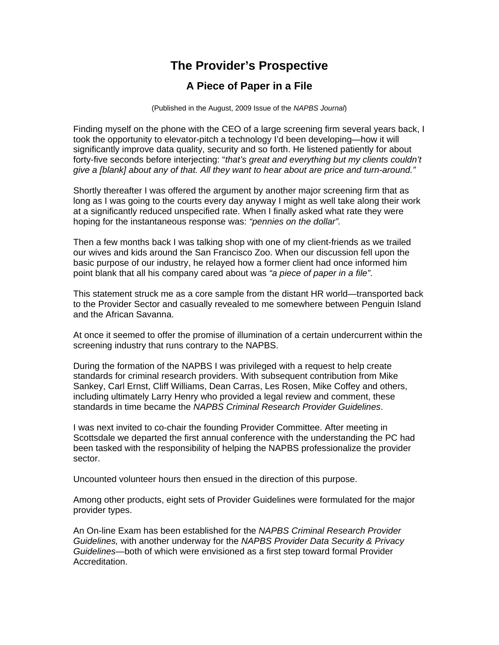## **The Provider's Prospective**

## **A Piece of Paper in a File**

(Published in the August, 2009 Issue of the *NAPBS Journal*)

Finding myself on the phone with the CEO of a large screening firm several years back, I took the opportunity to elevator-pitch a technology I'd been developing—how it will significantly improve data quality, security and so forth. He listened patiently for about forty-five seconds before interjecting: "*that's great and everything but my clients couldn't give a [blank] about any of that. All they want to hear about are price and turn-around."* 

Shortly thereafter I was offered the argument by another major screening firm that as long as I was going to the courts every day anyway I might as well take along their work at a significantly reduced unspecified rate. When I finally asked what rate they were hoping for the instantaneous response was: *"pennies on the dollar".*

Then a few months back I was talking shop with one of my client-friends as we trailed our wives and kids around the San Francisco Zoo. When our discussion fell upon the basic purpose of our industry, he relayed how a former client had once informed him point blank that all his company cared about was *"a piece of paper in a file"*.

This statement struck me as a core sample from the distant HR world—transported back to the Provider Sector and casually revealed to me somewhere between Penguin Island and the African Savanna.

At once it seemed to offer the promise of illumination of a certain undercurrent within the screening industry that runs contrary to the NAPBS.

During the formation of the NAPBS I was privileged with a request to help create standards for criminal research providers. With subsequent contribution from Mike Sankey, Carl Ernst, Cliff Williams, Dean Carras, Les Rosen, Mike Coffey and others, including ultimately Larry Henry who provided a legal review and comment, these standards in time became the *NAPBS Criminal Research Provider Guidelines*.

I was next invited to co-chair the founding Provider Committee. After meeting in Scottsdale we departed the first annual conference with the understanding the PC had been tasked with the responsibility of helping the NAPBS professionalize the provider sector.

Uncounted volunteer hours then ensued in the direction of this purpose.

Among other products, eight sets of Provider Guidelines were formulated for the major provider types.

An On-line Exam has been established for the *NAPBS Criminal Research Provider Guidelines,* with another underway for the *NAPBS Provider Data Security & Privacy Guidelines*—both of which were envisioned as a first step toward formal Provider Accreditation.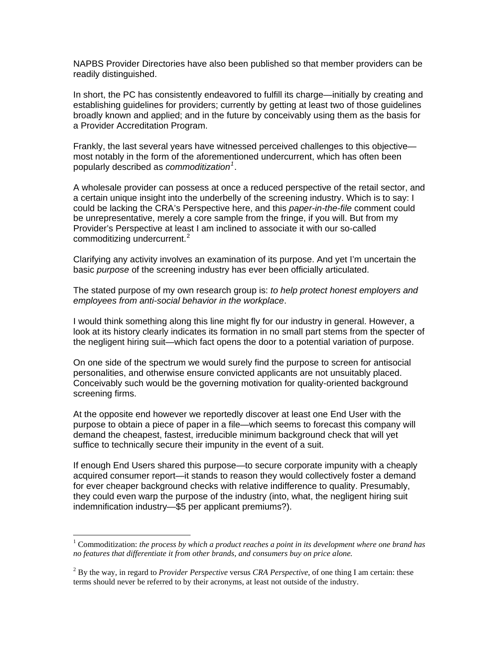NAPBS Provider Directories have also been published so that member providers can be readily distinguished.

In short, the PC has consistently endeavored to fulfill its charge—initially by creating and establishing guidelines for providers; currently by getting at least two of those guidelines broadly known and applied; and in the future by conceivably using them as the basis for a Provider Accreditation Program.

Frankly, the last several years have witnessed perceived challenges to this objective most notably in the form of the aforementioned undercurrent, which has often been popularly described as *commoditization[1](#page-1-0)* .

A wholesale provider can possess at once a reduced perspective of the retail sector, and a certain unique insight into the underbelly of the screening industry. Which is to say: I could be lacking the CRA's Perspective here, and this *paper-in-the-file* comment could be unrepresentative, merely a core sample from the fringe, if you will. But from my Provider's Perspective at least I am inclined to associate it with our so-called commoditizing undercurrent.<sup>[2](#page-1-1)</sup>

Clarifying any activity involves an examination of its purpose. And yet I'm uncertain the basic *purpose* of the screening industry has ever been officially articulated.

The stated purpose of my own research group is: *to help protect honest employers and employees from anti-social behavior in the workplace*.

I would think something along this line might fly for our industry in general. However, a look at its history clearly indicates its formation in no small part stems from the specter of the negligent hiring suit—which fact opens the door to a potential variation of purpose.

On one side of the spectrum we would surely find the purpose to screen for antisocial personalities, and otherwise ensure convicted applicants are not unsuitably placed. Conceivably such would be the governing motivation for quality-oriented background screening firms.

At the opposite end however we reportedly discover at least one End User with the purpose to obtain a piece of paper in a file—which seems to forecast this company will demand the cheapest, fastest, irreducible minimum background check that will yet suffice to technically secure their impunity in the event of a suit.

If enough End Users shared this purpose—to secure corporate impunity with a cheaply acquired consumer report—it stands to reason they would collectively foster a demand for ever cheaper background checks with relative indifference to quality. Presumably, they could even warp the purpose of the industry (into, what, the negligent hiring suit indemnification industry—\$5 per applicant premiums?).

 $\overline{a}$ 

<span id="page-1-0"></span><sup>&</sup>lt;sup>1</sup> Commoditization: *the process by which a product reaches a point in its development where one brand has no features that differentiate it from other brands, and consumers buy on price alone.* 

<span id="page-1-1"></span><sup>2</sup> By the way, in regard to *Provider Perspective* versus *CRA Perspective*, of one thing I am certain: these terms should never be referred to by their acronyms, at least not outside of the industry.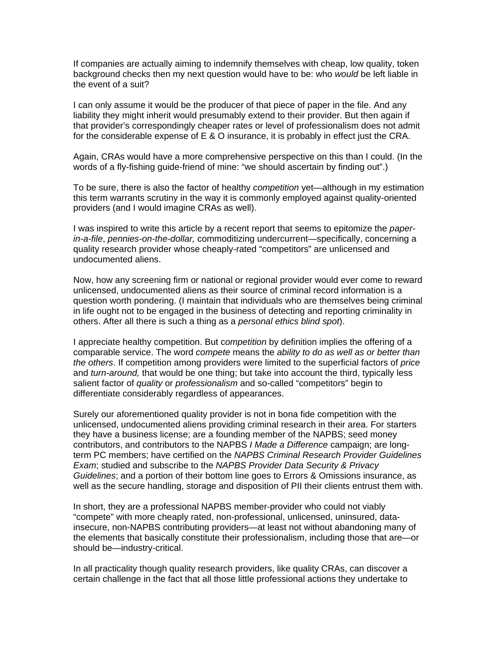If companies are actually aiming to indemnify themselves with cheap, low quality, token background checks then my next question would have to be: who *would* be left liable in the event of a suit?

I can only assume it would be the producer of that piece of paper in the file. And any liability they might inherit would presumably extend to their provider. But then again if that provider's correspondingly cheaper rates or level of professionalism does not admit for the considerable expense of E & O insurance, it is probably in effect just the CRA.

Again, CRAs would have a more comprehensive perspective on this than I could. (In the words of a fly-fishing guide-friend of mine: "we should ascertain by finding out".)

To be sure, there is also the factor of healthy *competition* yet—although in my estimation this term warrants scrutiny in the way it is commonly employed against quality-oriented providers (and I would imagine CRAs as well).

I was inspired to write this article by a recent report that seems to epitomize the *paperin-a-file*, *pennies-on-the-dollar,* commoditizing undercurrent—specifically, concerning a quality research provider whose cheaply-rated "competitors" are unlicensed and undocumented aliens.

Now, how any screening firm or national or regional provider would ever come to reward unlicensed, undocumented aliens as their source of criminal record information is a question worth pondering. (I maintain that individuals who are themselves being criminal in life ought not to be engaged in the business of detecting and reporting criminality in others. After all there is such a thing as a *personal ethics blind spot*).

I appreciate healthy competition. But c*ompetition* by definition implies the offering of a comparable service. The word *compete* means the *ability to do as well as or better than the others*. If competition among providers were limited to the superficial factors of *price* and *turn-around,* that would be one thing; but take into account the third, typically less salient factor of *quality* or *professionalism* and so-called "competitors" begin to differentiate considerably regardless of appearances.

Surely our aforementioned quality provider is not in bona fide competition with the unlicensed, undocumented aliens providing criminal research in their area. For starters they have a business license; are a founding member of the NAPBS; seed money contributors, and contributors to the NAPBS *I Made a Difference* campaign; are longterm PC members; have certified on the *NAPBS Criminal Research Provider Guidelines Exam*; studied and subscribe to the *NAPBS Provider Data Security & Privacy Guidelines*; and a portion of their bottom line goes to Errors & Omissions insurance, as well as the secure handling, storage and disposition of PII their clients entrust them with.

In short, they are a professional NAPBS member-provider who could not viably "compete" with more cheaply rated, non-professional, unlicensed, uninsured, datainsecure, non-NAPBS contributing providers—at least not without abandoning many of the elements that basically constitute their professionalism, including those that are—or should be—industry-critical.

In all practicality though quality research providers, like quality CRAs, can discover a certain challenge in the fact that all those little professional actions they undertake to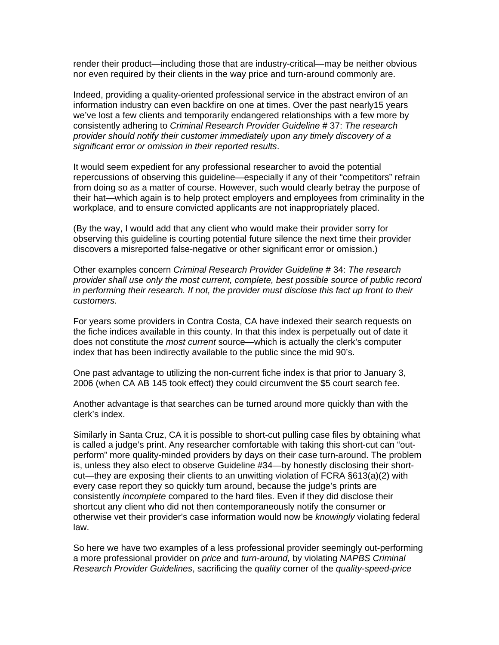render their product—including those that are industry-critical—may be neither obvious nor even required by their clients in the way price and turn-around commonly are.

Indeed, providing a quality-oriented professional service in the abstract environ of an information industry can even backfire on one at times. Over the past nearly15 years we've lost a few clients and temporarily endangered relationships with a few more by consistently adhering to *Criminal Research Provider Guideline* # 37: *The research provider should notify their customer immediately upon any timely discovery of a significant error or omission in their reported results*.

It would seem expedient for any professional researcher to avoid the potential repercussions of observing this guideline—especially if any of their "competitors" refrain from doing so as a matter of course. However, such would clearly betray the purpose of their hat—which again is to help protect employers and employees from criminality in the workplace, and to ensure convicted applicants are not inappropriately placed.

(By the way, I would add that any client who would make their provider sorry for observing this guideline is courting potential future silence the next time their provider discovers a misreported false-negative or other significant error or omission.)

Other examples concern *Criminal Research Provider Guideline* # 34: *The research provider shall use only the most current, complete, best possible source of public record in performing their research. If not, the provider must disclose this fact up front to their customers.* 

For years some providers in Contra Costa, CA have indexed their search requests on the fiche indices available in this county. In that this index is perpetually out of date it does not constitute the *most current* source—which is actually the clerk's computer index that has been indirectly available to the public since the mid 90's.

One past advantage to utilizing the non-current fiche index is that prior to January 3, 2006 (when CA AB 145 took effect) they could circumvent the \$5 court search fee.

Another advantage is that searches can be turned around more quickly than with the clerk's index.

Similarly in Santa Cruz, CA it is possible to short-cut pulling case files by obtaining what is called a judge's print. Any researcher comfortable with taking this short-cut can "outperform" more quality-minded providers by days on their case turn-around. The problem is, unless they also elect to observe Guideline #34—by honestly disclosing their shortcut—they are exposing their clients to an unwitting violation of FCRA §613(a)(2) with every case report they so quickly turn around, because the judge's prints are consistently *incomplete* compared to the hard files. Even if they did disclose their shortcut any client who did not then contemporaneously notify the consumer or otherwise vet their provider's case information would now be *knowingly* violating federal law.

So here we have two examples of a less professional provider seemingly out-performing a more professional provider on *price* and *turn-around,* by violating *NAPBS Criminal Research Provider Guidelines*, sacrificing the *quality* corner of the *quality-speed-price*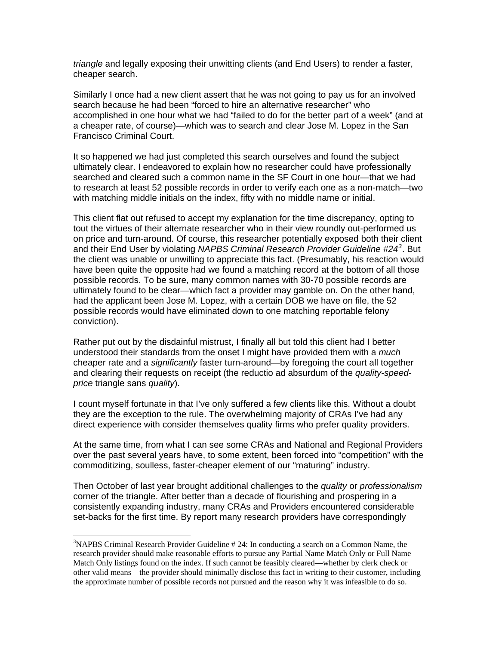*triangle* and legally exposing their unwitting clients (and End Users) to render a faster, cheaper search.

Similarly I once had a new client assert that he was not going to pay us for an involved search because he had been "forced to hire an alternative researcher" who accomplished in one hour what we had "failed to do for the better part of a week" (and at a cheaper rate, of course)—which was to search and clear Jose M. Lopez in the San Francisco Criminal Court.

It so happened we had just completed this search ourselves and found the subject ultimately clear. I endeavored to explain how no researcher could have professionally searched and cleared such a common name in the SF Court in one hour—that we had to research at least 52 possible records in order to verify each one as a non-match—two with matching middle initials on the index, fifty with no middle name or initial.

This client flat out refused to accept my explanation for the time discrepancy, opting to tout the virtues of their alternate researcher who in their view roundly out-performed us on price and turn-around. Of course, this researcher potentially exposed both their client and their End User by violating *NAPBS Criminal Research Provider Guideline #24[3](#page-4-0)* . But the client was unable or unwilling to appreciate this fact. (Presumably, his reaction would have been quite the opposite had we found a matching record at the bottom of all those possible records. To be sure, many common names with 30-70 possible records are ultimately found to be clear—which fact a provider may gamble on. On the other hand, had the applicant been Jose M. Lopez, with a certain DOB we have on file, the 52 possible records would have eliminated down to one matching reportable felony conviction).

Rather put out by the disdainful mistrust, I finally all but told this client had I better understood their standards from the onset I might have provided them with a *much* cheaper rate and a *significantly* faster turn-around—by foregoing the court all together and clearing their requests on receipt (the reductio ad absurdum of the *quality-speedprice* triangle sans *quality*).

I count myself fortunate in that I've only suffered a few clients like this. Without a doubt they are the exception to the rule. The overwhelming majority of CRAs I've had any direct experience with consider themselves quality firms who prefer quality providers.

At the same time, from what I can see some CRAs and National and Regional Providers over the past several years have, to some extent, been forced into "competition" with the commoditizing, soulless, faster-cheaper element of our "maturing" industry.

Then October of last year brought additional challenges to the *quality* or *professionalism*  corner of the triangle. After better than a decade of flourishing and prospering in a consistently expanding industry, many CRAs and Providers encountered considerable set-backs for the first time. By report many research providers have correspondingly

 $\overline{a}$ 

<span id="page-4-0"></span><sup>&</sup>lt;sup>3</sup>NAPBS Criminal Research Provider Guideline # 24: In conducting a search on a Common Name, the research provider should make reasonable efforts to pursue any Partial Name Match Only or Full Name Match Only listings found on the index. If such cannot be feasibly cleared—whether by clerk check or other valid means—the provider should minimally disclose this fact in writing to their customer, including the approximate number of possible records not pursued and the reason why it was infeasible to do so.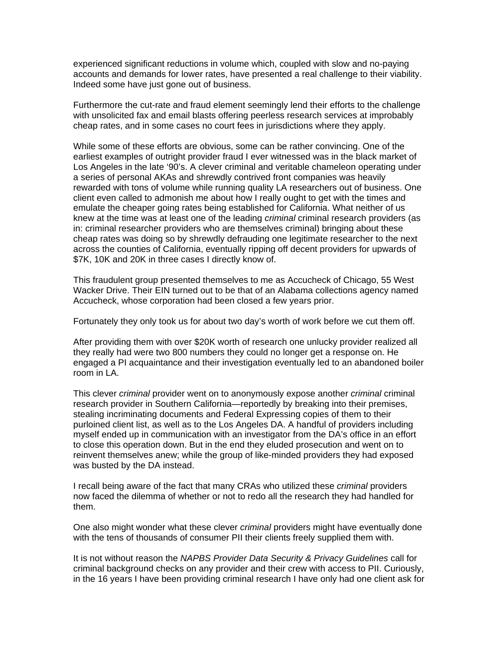experienced significant reductions in volume which, coupled with slow and no-paying accounts and demands for lower rates, have presented a real challenge to their viability. Indeed some have just gone out of business.

Furthermore the cut-rate and fraud element seemingly lend their efforts to the challenge with unsolicited fax and email blasts offering peerless research services at improbably cheap rates, and in some cases no court fees in jurisdictions where they apply.

While some of these efforts are obvious, some can be rather convincing. One of the earliest examples of outright provider fraud I ever witnessed was in the black market of Los Angeles in the late '90's. A clever criminal and veritable chameleon operating under a series of personal AKAs and shrewdly contrived front companies was heavily rewarded with tons of volume while running quality LA researchers out of business. One client even called to admonish me about how I really ought to get with the times and emulate the cheaper going rates being established for California. What neither of us knew at the time was at least one of the leading *criminal* criminal research providers (as in: criminal researcher providers who are themselves criminal) bringing about these cheap rates was doing so by shrewdly defrauding one legitimate researcher to the next across the counties of California, eventually ripping off decent providers for upwards of \$7K, 10K and 20K in three cases I directly know of.

This fraudulent group presented themselves to me as Accucheck of Chicago, 55 West Wacker Drive. Their EIN turned out to be that of an Alabama collections agency named Accucheck, whose corporation had been closed a few years prior.

Fortunately they only took us for about two day's worth of work before we cut them off.

After providing them with over \$20K worth of research one unlucky provider realized all they really had were two 800 numbers they could no longer get a response on. He engaged a PI acquaintance and their investigation eventually led to an abandoned boiler room in LA.

This clever *criminal* provider went on to anonymously expose another *criminal* criminal research provider in Southern California—reportedly by breaking into their premises, stealing incriminating documents and Federal Expressing copies of them to their purloined client list, as well as to the Los Angeles DA. A handful of providers including myself ended up in communication with an investigator from the DA's office in an effort to close this operation down. But in the end they eluded prosecution and went on to reinvent themselves anew; while the group of like-minded providers they had exposed was busted by the DA instead.

I recall being aware of the fact that many CRAs who utilized these *criminal* providers now faced the dilemma of whether or not to redo all the research they had handled for them.

One also might wonder what these clever *criminal* providers might have eventually done with the tens of thousands of consumer PII their clients freely supplied them with.

It is not without reason the *NAPBS Provider Data Security & Privacy Guidelines* call for criminal background checks on any provider and their crew with access to PII. Curiously, in the 16 years I have been providing criminal research I have only had one client ask for